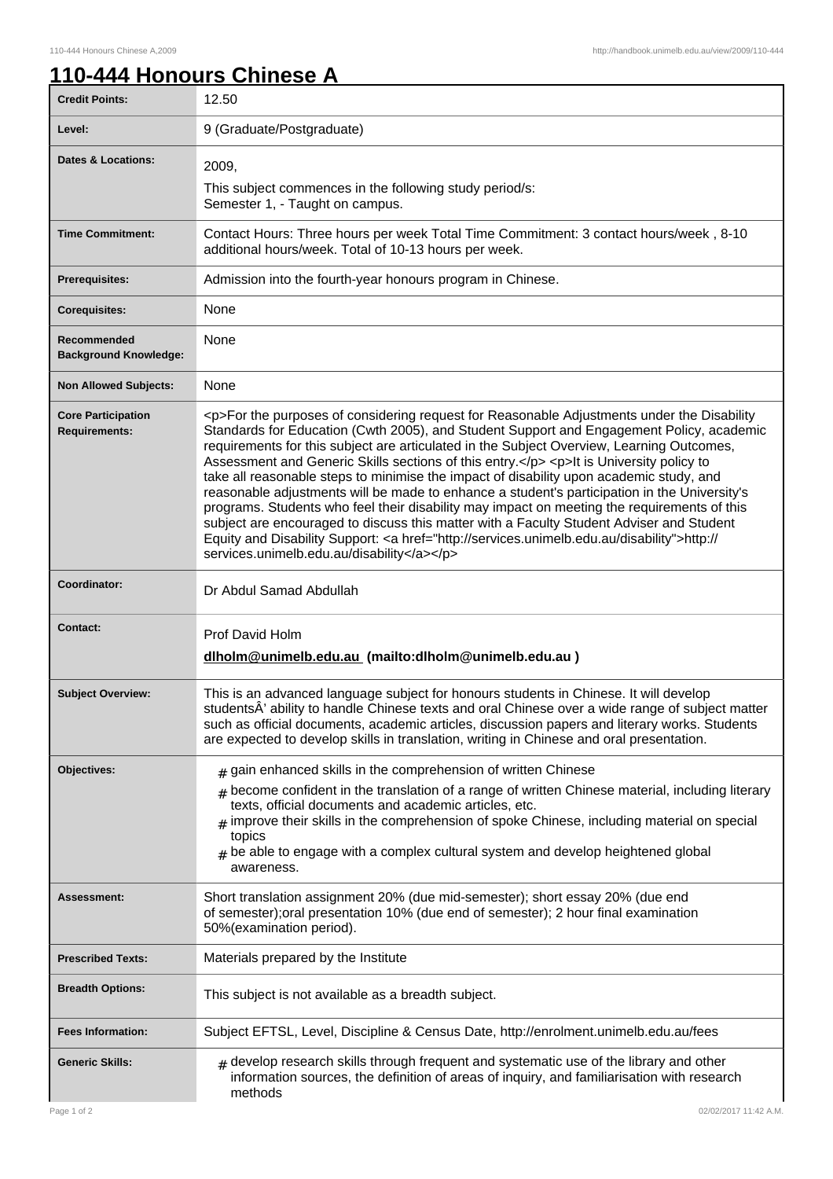7

## **110-444 Honours Chinese A**

| <b>Credit Points:</b>                             | 12.50                                                                                                                                                                                                                                                                                                                                                                                                                                                                                                                                                                                                                                                                                                                                                                                                                                                                                                                        |
|---------------------------------------------------|------------------------------------------------------------------------------------------------------------------------------------------------------------------------------------------------------------------------------------------------------------------------------------------------------------------------------------------------------------------------------------------------------------------------------------------------------------------------------------------------------------------------------------------------------------------------------------------------------------------------------------------------------------------------------------------------------------------------------------------------------------------------------------------------------------------------------------------------------------------------------------------------------------------------------|
| Level:                                            | 9 (Graduate/Postgraduate)                                                                                                                                                                                                                                                                                                                                                                                                                                                                                                                                                                                                                                                                                                                                                                                                                                                                                                    |
| <b>Dates &amp; Locations:</b>                     | 2009,<br>This subject commences in the following study period/s:<br>Semester 1, - Taught on campus.                                                                                                                                                                                                                                                                                                                                                                                                                                                                                                                                                                                                                                                                                                                                                                                                                          |
| <b>Time Commitment:</b>                           | Contact Hours: Three hours per week Total Time Commitment: 3 contact hours/week, 8-10<br>additional hours/week. Total of 10-13 hours per week.                                                                                                                                                                                                                                                                                                                                                                                                                                                                                                                                                                                                                                                                                                                                                                               |
| <b>Prerequisites:</b>                             | Admission into the fourth-year honours program in Chinese.                                                                                                                                                                                                                                                                                                                                                                                                                                                                                                                                                                                                                                                                                                                                                                                                                                                                   |
| <b>Corequisites:</b>                              | None                                                                                                                                                                                                                                                                                                                                                                                                                                                                                                                                                                                                                                                                                                                                                                                                                                                                                                                         |
| Recommended<br><b>Background Knowledge:</b>       | None                                                                                                                                                                                                                                                                                                                                                                                                                                                                                                                                                                                                                                                                                                                                                                                                                                                                                                                         |
| <b>Non Allowed Subjects:</b>                      | None                                                                                                                                                                                                                                                                                                                                                                                                                                                                                                                                                                                                                                                                                                                                                                                                                                                                                                                         |
| <b>Core Participation</b><br><b>Requirements:</b> | <p>For the purposes of considering request for Reasonable Adjustments under the Disability<br/>Standards for Education (Cwth 2005), and Student Support and Engagement Policy, academic<br/>requirements for this subject are articulated in the Subject Overview, Learning Outcomes,<br/>Assessment and Generic Skills sections of this entry.</p> <p>lt is University policy to<br/>take all reasonable steps to minimise the impact of disability upon academic study, and<br/>reasonable adjustments will be made to enhance a student's participation in the University's<br/>programs. Students who feel their disability may impact on meeting the requirements of this<br/>subject are encouraged to discuss this matter with a Faculty Student Adviser and Student<br/>Equity and Disability Support: &lt; a href="http://services.unimelb.edu.au/disability"&gt;http://<br/>services.unimelb.edu.au/disability</p> |
| Coordinator:                                      | Dr Abdul Samad Abdullah                                                                                                                                                                                                                                                                                                                                                                                                                                                                                                                                                                                                                                                                                                                                                                                                                                                                                                      |
| <b>Contact:</b>                                   | Prof David Holm<br>dlholm@unimelb.edu.au (mailto:dlholm@unimelb.edu.au)                                                                                                                                                                                                                                                                                                                                                                                                                                                                                                                                                                                                                                                                                                                                                                                                                                                      |
| <b>Subject Overview:</b>                          | This is an advanced language subject for honours students in Chinese. It will develop<br>studentsÂ' ability to handle Chinese texts and oral Chinese over a wide range of subject matter<br>such as official documents, academic articles, discussion papers and literary works. Students<br>are expected to develop skills in translation, writing in Chinese and oral presentation.                                                                                                                                                                                                                                                                                                                                                                                                                                                                                                                                        |
| Objectives:                                       | $_{\text{\#}}$ gain enhanced skills in the comprehension of written Chinese<br>become confident in the translation of a range of written Chinese material, including literary<br>#<br>texts, official documents and academic articles, etc.<br>$_{\#}$ improve their skills in the comprehension of spoke Chinese, including material on special<br>topics<br>$_{\#}$ be able to engage with a complex cultural system and develop heightened global<br>awareness.                                                                                                                                                                                                                                                                                                                                                                                                                                                           |
| <b>Assessment:</b>                                | Short translation assignment 20% (due mid-semester); short essay 20% (due end<br>of semester); oral presentation 10% (due end of semester); 2 hour final examination<br>50%(examination period).                                                                                                                                                                                                                                                                                                                                                                                                                                                                                                                                                                                                                                                                                                                             |
| <b>Prescribed Texts:</b>                          | Materials prepared by the Institute                                                                                                                                                                                                                                                                                                                                                                                                                                                                                                                                                                                                                                                                                                                                                                                                                                                                                          |
| <b>Breadth Options:</b>                           | This subject is not available as a breadth subject.                                                                                                                                                                                                                                                                                                                                                                                                                                                                                                                                                                                                                                                                                                                                                                                                                                                                          |
| <b>Fees Information:</b>                          | Subject EFTSL, Level, Discipline & Census Date, http://enrolment.unimelb.edu.au/fees                                                                                                                                                                                                                                                                                                                                                                                                                                                                                                                                                                                                                                                                                                                                                                                                                                         |
| <b>Generic Skills:</b>                            | $#$ develop research skills through frequent and systematic use of the library and other<br>information sources, the definition of areas of inquiry, and familiarisation with research<br>methods                                                                                                                                                                                                                                                                                                                                                                                                                                                                                                                                                                                                                                                                                                                            |
| Page 1 of 2                                       | 02/02/2017 11:42 A.M.                                                                                                                                                                                                                                                                                                                                                                                                                                                                                                                                                                                                                                                                                                                                                                                                                                                                                                        |